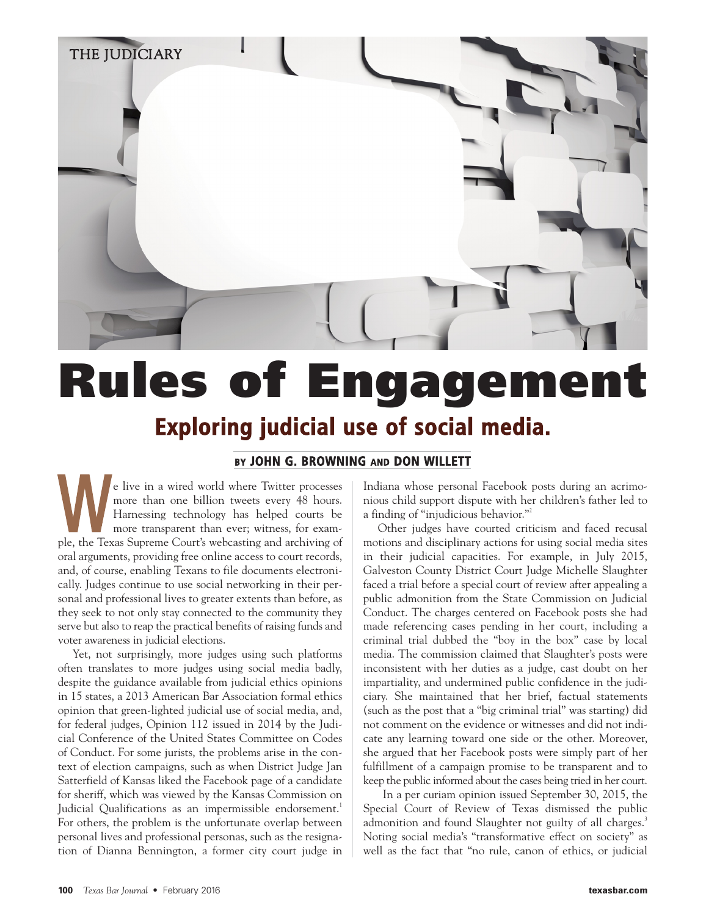

# **Rules of Engagement Exploring judicial use of social media.**

## **BY JOHN G. BROWNING AND DON WILLETT**

e live in a wired world where Twitter processes more than one billion tweets every 48 hours. Harnessing technology has helped courts be more transparent than ever; witness, for exammore than one billion tweets every 48 hours.<br>Harnessing technology has helped courts be<br>more transparent than ever; witness, for exam-<br>ple, the Texas Supreme Court's webcasting and archiving of oral arguments, providing free online access to court records, and, of course, enabling Texans to file documents electronically. Judges continue to use social networking in their personal and professional lives to greater extents than before, as they seek to not only stay connected to the community they serve but also to reap the practical benefits of raising funds and voter awareness in judicial elections.

Yet, not surprisingly, more judges using such platforms often translates to more judges using social media badly, despite the guidance available from judicial ethics opinions in 15 states, a 2013 American Bar Association formal ethics opinion that green-lighted judicial use of social media, and, for federal judges, Opinion 112 issued in 2014 by the Judicial Conference of the United States Committee on Codes of Conduct. For some jurists, the problems arise in the context of election campaigns, such as when District Judge Jan Satterfield of Kansas liked the Facebook page of a candidate for sheriff, which was viewed by the Kansas Commission on Judicial Qualifications as an impermissible endorsement.<sup>1</sup> For others, the problem is the unfortunate overlap between personal lives and professional personas, such as the resignation of Dianna Bennington, a former city court judge in

Indiana whose personal Facebook posts during an acrimonious child support dispute with her children's father led to a finding of "injudicious behavior."2

Other judges have courted criticism and faced recusal motions and disciplinary actions for using social media sites in their judicial capacities. For example, in July 2015, Galveston County District Court Judge Michelle Slaughter faced a trial before a special court of review after appealing a public admonition from the State Commission on Judicial Conduct. The charges centered on Facebook posts she had made referencing cases pending in her court, including a criminal trial dubbed the "boy in the box" case by local media. The commission claimed that Slaughter's posts were inconsistent with her duties as a judge, cast doubt on her impartiality, and undermined public confidence in the judiciary. She maintained that her brief, factual statements (such as the post that a "big criminal trial" was starting) did not comment on the evidence or witnesses and did not indicate any learning toward one side or the other. Moreover, she argued that her Facebook posts were simply part of her fulfillment of a campaign promise to be transparent and to keep the public informed about the cases being tried in her court.

In a per curiam opinion issued September 30, 2015, the Special Court of Review of Texas dismissed the public admonition and found Slaughter not guilty of all charges.<sup>3</sup> Noting social media's "transformative effect on society" as well as the fact that "no rule, canon of ethics, or judicial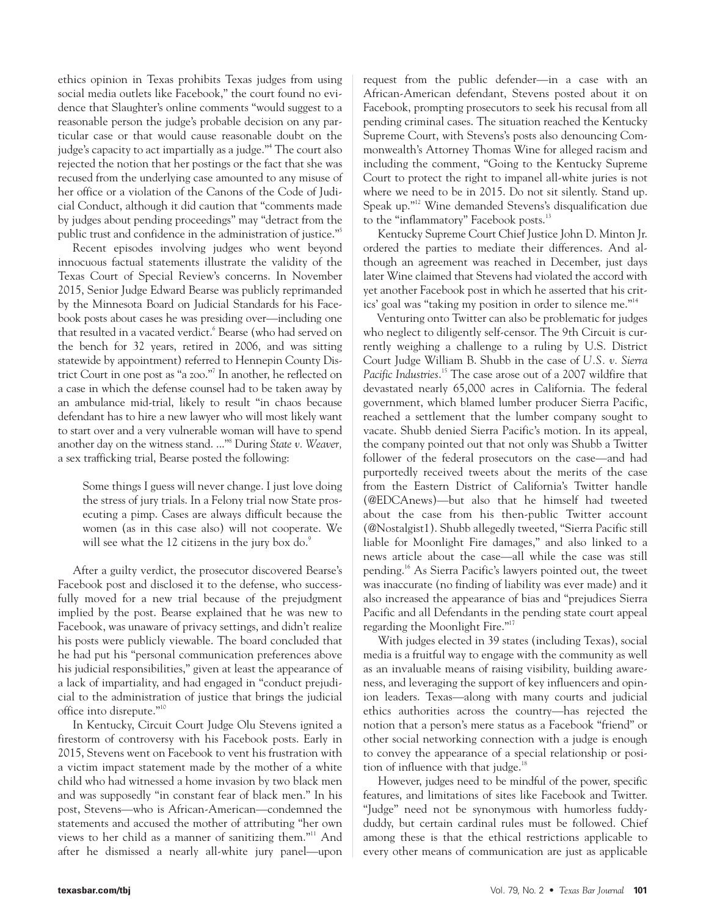ethics opinion in Texas prohibits Texas judges from using social media outlets like Facebook," the court found no evidence that Slaughter's online comments "would suggest to a reasonable person the judge's probable decision on any particular case or that would cause reasonable doubt on the judge's capacity to act impartially as a judge."4 The court also rejected the notion that her postings or the fact that she was recused from the underlying case amounted to any misuse of her office or a violation of the Canons of the Code of Judicial Conduct, although it did caution that "comments made by judges about pending proceedings" may "detract from the public trust and confidence in the administration of justice."5

Recent episodes involving judges who went beyond innocuous factual statements illustrate the validity of the Texas Court of Special Review's concerns. In November 2015, Senior Judge Edward Bearse was publicly reprimanded by the Minnesota Board on Judicial Standards for his Facebook posts about cases he was presiding over—including one that resulted in a vacated verdict.<sup>6</sup> Bearse (who had served on the bench for 32 years, retired in 2006, and was sitting statewide by appointment) referred to Hennepin County District Court in one post as "a zoo."<sup>7</sup> In another, he reflected on a case in which the defense counsel had to be taken away by an ambulance mid-trial, likely to result "in chaos because defendant has to hire a new lawyer who will most likely want to start over and a very vulnerable woman will have to spend another day on the witness stand. ..."8 During *State v. Weaver,* a sex trafficking trial, Bearse posted the following:

Some things I guess will never change. I just love doing the stress of jury trials. In a Felony trial now State prosecuting a pimp. Cases are always difficult because the women (as in this case also) will not cooperate. We will see what the 12 citizens in the jury box  $do$ .

After a guilty verdict, the prosecutor discovered Bearse's Facebook post and disclosed it to the defense, who successfully moved for a new trial because of the prejudgment implied by the post. Bearse explained that he was new to Facebook, was unaware of privacy settings, and didn't realize his posts were publicly viewable. The board concluded that he had put his "personal communication preferences above his judicial responsibilities," given at least the appearance of a lack of impartiality, and had engaged in "conduct prejudicial to the administration of justice that brings the judicial office into disrepute."10

In Kentucky, Circuit Court Judge Olu Stevens ignited a firestorm of controversy with his Facebook posts. Early in 2015, Stevens went on Facebook to vent his frustration with a victim impact statement made by the mother of a white child who had witnessed a home invasion by two black men and was supposedly "in constant fear of black men." In his post, Stevens—who is African-American—condemned the statements and accused the mother of attributing "her own views to her child as a manner of sanitizing them."11 And after he dismissed a nearly all-white jury panel—upon request from the public defender—in a case with an African-American defendant, Stevens posted about it on Facebook, prompting prosecutors to seek his recusal from all pending criminal cases. The situation reached the Kentucky Supreme Court, with Stevens's posts also denouncing Commonwealth's Attorney Thomas Wine for alleged racism and including the comment, "Going to the Kentucky Supreme Court to protect the right to impanel all-white juries is not where we need to be in 2015. Do not sit silently. Stand up. Speak up."12 Wine demanded Stevens's disqualification due to the "inflammatory" Facebook posts.<sup>13</sup>

Kentucky Supreme Court Chief Justice John D. Minton Jr. ordered the parties to mediate their differences. And although an agreement was reached in December, just days later Wine claimed that Stevens had violated the accord with yet another Facebook post in which he asserted that his critics' goal was "taking my position in order to silence me."14

Venturing onto Twitter can also be problematic for judges who neglect to diligently self-censor. The 9th Circuit is currently weighing a challenge to a ruling by U.S. District Court Judge William B. Shubb in the case of *U.S. v. Sierra Pacific Industries*. <sup>15</sup> The case arose out of a 2007 wildfire that devastated nearly 65,000 acres in California. The federal government, which blamed lumber producer Sierra Pacific, reached a settlement that the lumber company sought to vacate. Shubb denied Sierra Pacific's motion. In its appeal, the company pointed out that not only was Shubb a Twitter follower of the federal prosecutors on the case—and had purportedly received tweets about the merits of the case from the Eastern District of California's Twitter handle (@EDCAnews)—but also that he himself had tweeted about the case from his then-public Twitter account (@Nostalgist1). Shubb allegedly tweeted, "Sierra Pacific still liable for Moonlight Fire damages," and also linked to a news article about the case—all while the case was still pending.16 As Sierra Pacific's lawyers pointed out, the tweet was inaccurate (no finding of liability was ever made) and it also increased the appearance of bias and "prejudices Sierra Pacific and all Defendants in the pending state court appeal regarding the Moonlight Fire."17

With judges elected in 39 states (including Texas), social media is a fruitful way to engage with the community as well as an invaluable means of raising visibility, building awareness, and leveraging the support of key influencers and opinion leaders. Texas—along with many courts and judicial ethics authorities across the country—has rejected the notion that a person's mere status as a Facebook "friend" or other social networking connection with a judge is enough to convey the appearance of a special relationship or position of influence with that judge. $18$ 

However, judges need to be mindful of the power, specific features, and limitations of sites like Facebook and Twitter. "Judge" need not be synonymous with humorless fuddyduddy, but certain cardinal rules must be followed. Chief among these is that the ethical restrictions applicable to every other means of communication are just as applicable